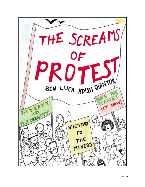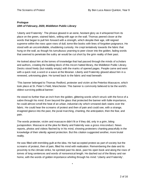#### **Prologue**

## *10th of February, 2020, Middleton Public Library*

'Liberty and Fraternity'. The phrase glowed in an eerie, hesitant glory as it whispered from its place on the green, stained fabric, wilting with age on the wall. Thomas peered closer at the words that began to pull him forward with a strength, which despite their age, still reigned supreme within the rows upon rows of dull, tome-like books with lines of forgotten poignance. He stood with an uncontrollable, shuddering curiosity. He crept tentatively towards the fabric that hung on the wall, as though his tumultuous yearning to peer closer into the golden, fading words that seemed to penetrate the sultry air would be cut short by the grim reality of their past.

He looked about him at the tomes of knowledge that had passed through the minds of scholars and authors, creating the building block of this tricorn hatted library, the Middleton Public Library. Desks stood freely (but notably empty) with the marks of opened pages. People came and went with a quick nod, a word or a wave at the librarian. Liberty and Fraternity glowed about him in a renewed, unknowing glare. He turned back to the fabric and read beneath:

'This banner belonged to Thomas Redford, protester and victim at the Peterloo Massacre, which took place at St. Peter's Field, Manchester. This banner is commonly believed to be the world's oldest surviving political banner.'

He stood no further than an inch from the golden, glittering words which struck with the force of a sabre through his mind. Even beyond the glass that protected the banner with futile importance, he could almost smell the heat of an urban, industrial city which smeared dark stains over the fabric. He could hear the screams of protest and then of pain and could see, with a strange, imagined glance into the past, the jovial marching, chanting, the anticipation, then the fear, and pain.

The words protester, victim and massacre didn't fit or if they did, only in a grim, biting juxtaposition. Massacre at the plea for liberty and fraternity was a gross misconduct. News reports, photos and videos flashed by in his mind, showing protesters chanting peacefully in the knowledge of their silently agreed protection. But this citation suggested another, more brutal reality.

He was filled with trembling guilt at the idea. He had accepted protest as part of society but the screams of protest, then of pain, filled his mind with realisation. Remembering the date and its proximity to the climate strike, he sprinted past his desk, past his open book and along the rows of tomes of long sentences and words of nonsensical length. He dashed out of the library and ran home, with the words of golden importance whirling through his mind: 'Liberty and Fraternity'.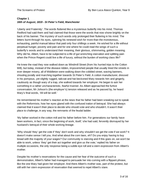# **Chapter 1** *16th of August, 1819 - St Peter's Field, Manchester*

'Liberty and Fraternity'. The words fluttered like a mysterious butterfly into his mind. Thomas Redford had said them and had claimed that those were the words that now shone brightly on the back of his banner. The mystery of such words only prolonged their fluttering in his mind. The letters burnt through his eyes, spinning his renewed wish for more than the monotonous, exhausting, painful manual labour that paid only four shillings a week. He wished for a life without perpetual hunger, poverty and pain and for one where he could read the wings of such a butterfly's words and to understand their meaning, their glorious, shimmering, golden meaning. Why did he, Albert, have to be subjected to a life of gut wrenching starvation and splitting pain when the Prince Regent could live a life of luxury, without the burden of working class life?

He knew the road they now walked down as Windmill Street (from his hurried trips to the Cotton Mill), but today, instead of the disease ridden, impoverished people that usually lined the streets in ever deeper misery, all of Middleton were walking down the cobbled street, waving banners, shouting jovially and marching together towards St Peter's Field. A cotton manufacturer, dressed in his pompous, yet slightly rugged, tailcoat and hat beckoned Mary towards him and gingerly, cautiously as though wary of a trap, she walked towards her employer. He began to ask her something in a rather uncharacteristic, fearful manner. As Albert approached the furtive conversation, Mr Johson's (the employer's) tension released and as he passed by, he heard Mary's final words, 'All will be well.'

He remembered his mother's reaction at the news that his father had been sneaking out to speak with the Reformists; how her eyes glared with the confused iration of betrayal. She had always claimed that it wasn't their place to decide who should vote and who shouldn't. It wasn't their place to challenge, in any way, the remnants of the feudal ladder.

'My father worked in the cotton mill and his father before him. For generations our family have been workers, in fact, since the beginning of work, itself,' she had said, fervently dismayed by her husband's betrayal of their whole working lineage.

'Why should 'they' get the vote if 'they' don't work and why shouldn't we get the vote if we work? It doesn't make sense I tell you. And what about the corn laws, eh? Do you enjoy having to buy bread with the majority of your wages? Our community is starving and if this goes on, we won't be able to work, unless 'they' get their act together and give us the vote,' replied his father on multiple occasions, the only response being a subtle eye roll and a stern expression from Albert's mother.

Despite his mother's reservations for the cause and her fear of the outcome of such a demonstration, Albert's father had managed to persuade her into coming with a flippant phrase, like the one Mary had given her employer. And there Albert's mother was, part of the protest, but still with her stern expression of reservation that seemed to repel Albert's stare.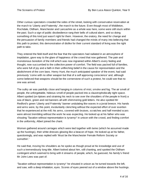Other curious spectators crowded the sides of the street, looking with conservative reservation at the march to 'Liberty and Fraternity', the march to the future. Even though most of Middleton, Rochdale, Oldham, Manchester and Lancashire as a whole was here, some were still stuck within the past. Such a sign of public disobedience rang their bells of cultural alarm, and so doing something of this kind just wasn't right for them. However, the oratory, the need for change and the persuasion of family members and friends had changed the minds of many into believing that this path to protest, this demonstration of dislike for their current standard of living was the right path to take.

They entered the field itself and the fear that the spectators had radiated in an atmosphere of trepidation, gave way to the glare of happiness of the crowd that now gathered. The pain and monotonous boredom of the mill which was now ingrained within Albert's every feeling and thought, now succumbed to the collective power of comfort. The field was packed full of families, who were full of joy and a faith in their unflinching belief in the cause for representation and the abolishment of the corn laws. Henry Hunt, the much anticipated speaker of the event, had said previously 'come with no other weapon but that of a self approving conscience' and, although some believed that weapons should be the cornerstone of such a protest, he could see that no one was armed.

The sultry air was painfully close and hanging in columns of mist, smoke and fog. The air smelt of people, the unforgettable, hideous smell of people packed into a claustrophobically tight space. Albert spotted (on tiptoes and straining his neck to see over the shoulders of the people in front) a sea of black, green and red banners all with shimmering gold letters. He also spotted Mr Redford's green 'Liberty and Fraternity' banner undulating like waves in a jovial breeze. His hands and arms were, by this point, involuntarily clenching without the expected effort of over exertion that he experienced at the mill; his arms, covered with bruises, scratches and half mended scars were almost trembling without the work he was expecting. He looked up at his father who was shouting 'Taxation without representation is tyranny!' in unison with the crowd, and finding comfort in the uniformity, Albert joined the chant.

Women gathered around carriages which were tied together with twine (which he assumed made up the hustings), their white dresses glowing like a beacon of hope. He looked up at his father, questioningly, and was replied with 'Must be the Manchester Female Reform Society or somethin'.'

He said that, moving his shoulders as he spoke as though proud at his knowledge and use of such a tremendously long title. Albert looked about him, still chanting, and spotted the Oldham contingent which seemed to bring with it streams of people, which, he guessed, his family's friend Mr John Lees was part of.

'Taxation without representation is tyranny!' he shouted in unison as he turned towards the left, and saw, with a deep inhalation, eyes. Scores of eyes peered out of a window above the hustings.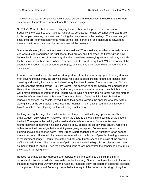The eyes were fearful but yet filled with a brutal sense of righteousness, the belief that they were superior and the protesters were inferior, like mice in a cage.

St. Peter's Church's bell tremored, notifying the members of the protest that it was noon. Suddenly, the crowd froze. On tiptoes, Albert saw constables, notably Jonathon Andrews (traitor to his people), entering the crowd and forcing their way towards the hustings. The crowd surged back, their pre-reformist sentiments rising as their first port of call and then surged forward as those at the front of the crowd hurried to surround the hustings.

Someone shouted, 'Don't let them arrest the speakers!' The speakers, who hadn't actually arrived yet, were due to stand upon the hustings for their oratory and it seemed (as tiptoeing was now impossible in the surges of movement), that the constables were trying to force their way towards the hustings, no doubt in order to have a secure route to arrest Henry Hunt. Within seconds of the sounding of midday, the air of humid, yet happy, chanting had given way to the silence of fearful anticipation.

In what seemed a decade of constant, staring silence from the unmoving eyes of the mysterious men beyond the hustings, the crowd's dread rose and bubbled. People fidgeted, forgetting their chanting and waiting for the moment when Henry Hunt would arrive. From the direction of Mount Street, chanting started saying 'No Corn Laws!' This seemed to be followed by the emergence of Henry Hunt. He saw, to his surprise, (and amongst many unfamiliar faces), Joseph Johnson, a well known cotton manufacturer and Richard Carlile which he knew (as his father had told him) as the editor of the Manchester Observer. The atmosphere of fearful anticipation subsided to renewed happiness, as people, dazed, turned their heads towards the speaker who now (with a wary glance at the constables) stood upon the hustings. The chanting resumed and 'No Corn Laws!'; whistles; and clapping applauded Henry Hunt's entry.

Looking among the eager faces who looked at Henry Hunt with a loving appreciation of his oratory, Albert saw Jonathon Andrews mount the stairs to the eyes in the building at the edge of the field. The eyes in the building all turned and after a brief moment, Jonathon Andrews reemerged with something in his hand. Albert's body, despite the empowering oratory, wretched with terror at the knowledge that something was going to happen. Someone ran out of the building of eyes and dashed down Peter Street. Albert began to search frantically for an escape route, to no avail. All around him he was surrounded with the bodies of people cheering, unaware of the imminent danger. Shouts rose at the end of Henry Hunt's speech as a sign of the crowd's unflinching admiration. Then, a scream of pain rose and wailed in high pitched distress and then, as though throttled, ended. Then the screamed sobs of loss penetrated the happiness consuming the crowd in terrifying fear.

Hooves resonated as they galloped over cobblestones and burst into the field, melting, in seconds, the frozen crowd who now rushed out of their way. Screams of terror leapt into the air as the horses reared their way towards the hustings, knocking down protesters in deliberate defiance of the protest. 'Liberty and Fraternity' crumpled at the sight of the horses, collapsing in its golden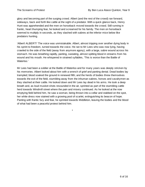glory and becoming part of the surging crowd. Albert (and the rest of the crowd) ran forward, sideways, back and forth like cattle at the sight of a predator. With a quick glance back, Henry Hunt was apprehended and the men on horseback moved towards the crowd. Still running in frantic, heart thumping fear, he looked and screamed for his family. The men on horseback seemed to multiply in seconds, as they slashed with sabres at the inferior mice below like predators hunting.

'Albert! ALBERT!' The voice was unmistakable. Albert, almost tripping over another dying body in his sprint to freedom, turned towards the voice. He ran to Mr Lees who was now lying, having crawled to the side of the field (away from anymore agony), with a large, sabre wound across his stomach. He was breathing rapidly, panting, sweating, almost spitting blood in streams from his wound and his mouth. He whispered in strained syllables, 'This is worse than the Battle of Waterloo.'

Mr Lees had been a soldier at the Battle of Waterloo and for many years was deeply stricken by his memories. Albert looked about him with a wrench of grief and panting denial. Dead bodies lay trampled; blood soaked the ground in renewed filth; and the herds of bodies threw themselves towards the exit of the field, stumbling away from the inhuman sabres, horses and cavalrymen as they slashed at their cattle. He looked down and Mr Lees lay dead in his arms. He took a deep breath and, as loud musket shots resounded in the air, sprinted as part of the stumbling cattle herd towards Windmill street where the pain and misery continued. As he looked at the now emptying field behind him, he saw a woman, being thrown into a cellar and stabbed on the spot, her white dress now stained with a growing pool of scarlet, extinguishing its beacon of hope. Panting with frantic fury and fear, he sprinted towards Middleton, leaving the bodies and the blood of what had been a peaceful protest behind him.

\*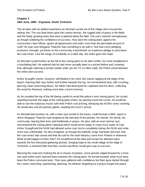#### **Chapter 2**

#### *18th June, 1984 - Orgreave, South Yorkshire*

The air blew with an added importance as Michael cycled out of the village and crossed the railway line. The sun beat down upon the coarse tarmac, the rugged tufts of grass in the fields and the freely growing trees that were scattered about the field. The sun's warmth strengthened, as though soldering his confidence of success. How dare the coking plant, against his community's best efforts, ignore all agreements and order more than the permitted amount of coal? He was sure Margaret Thatcher had something to do with it. She had come pledging economic strength, yet threw on the community a bombshell, an explosive pledge to shut down the coal mines. Like the wings of a butterfly on a dark day, the strike gave him hope.

As Michael cycled further up the hill to the coking plant on his fake Grifter, his mind shuddered to a humiliating halt. He realised that he had never actually been to a picket before and, knowing that, although claiming to protect public order (as the TV so often said), the Police stood between the strike and success.

Arthur Scargill's words, however, still floated in his mind, like waves lapping at the edge of the beach, foaming their way further and further towards the top. He remembered how, with crushing, piercing, heart wrenching blows, his father had destroyed his cupboard and his desk, collecting the wood for firewood, nothing more than a burnt memory.

As he rounded the top of the hill (being careful to avoid the police's ever staring gaze), he cycled, speeding towards the edge of the coking plant where, by peering round the corner, he would be able to see the traitorous trucks with their Polish coal arriving, betraying the NUM's every warning. He would also see the pickets gather, awaiting the truck's arrival.

As Michael dismounted, he, with a stern eye turned to the future, could foresee a BBC report in which Margaret Thatcher had resigned at the demand of the pickets, his friends, his family, his community, leaving their lives and livelihoods in peace. He also, with an even sterner eye, remembered the coking plant's betrayal which would arrive today in many truck loads of coal. Arthur Scargill and the NUM had allowed some coal, but to completely betray the NUM and order more was unthinkable. He also imagined, as though the butterfly wings had been dimmed, that the coal mines had closed and that all coal for the steel industry came from Poland or wherever. What would happen to them then? He shuddered at the idea and turned his attention back towards the five thousand gathering pickets, bringing hope to his small village at the edge of Yorkshire, a renewed faith that their current sacrifices would give way to success.

Blocking the road and choking the air in shouts of protest, some pickets edged forward for a front row spot whilst overs backed down towards the coking plant. He turned towards what must have been the Police command post. Their eyes glittered with confidence but their gaze darted through the crowd, searching, questioning, planning. He blinked, forgetting (or trying to forget) the police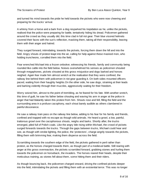and turned his mind towards the pride he held towards the pickets who were now cheering and preparing for the trucks' arrival.

A whinny from a horse and a bark from a dog resparked his trepidation as he, unlike the pickets, realised that the police were preparing for battle, tentatively hiding his dread. Policemen gathered around the crowd as they usually did, this time clad in full riot gear. Their blue visored helmets covered their faces with the sun's reflection, masking them, taking all their responsibility, leaving them with their anger and hatred.

They surged forward, intimidating, towards the pickets, forcing them down the hill and into the field. Angry shouts of protest leapt into the air, calling for help against these masked men, who holding truncheons, corralled them into the field.

Fear wrenched Michael into a frozen onlooker, witnessing his friends, family and community being rounded like cattle into the field below. Noises overwhelmed his senses as policemen shouted through megaphones, pickets shouted at this gross misjustice and dogs barked and horses neighed. Again fear made him almost wretch at the realisation that they were confined, the railway line behind them with policemen in riot gear guarding it. On both sides mounted officers paced, waiting from their haughty heights.On the other side, he saw dogs, straining at their leads and barking violently through their muzzles, aggressively waiting for their freedom.

Worry seized him, almost to the point of trembling, as he feared for his fate. With another wretch, this time of guilt, he saw his father below shouting and waving his arm in anger at the police in anger that had blatantly taken this protest from him. Shouts rose and fell, filling the field and the surrounding area in a profuse cacophony, each shout barely audible as others clambered in painful dissonance.

He saw a railway train pass on the railway line below, adding to his fear for his family and friends, confined and trapped with no escape as though wild animals. He heard a growl, a low, painful, traitorous growl over the cacophonous shouts, neighs and barks. Shortly after, the trucks emerged, piled full of Polish coals. Like the angry bile rising within Michael, the crowd of pickets surged forwards towards the trucks. Through the gaps between trucks, Michael could hear and see, as though with strobe lighting, the police, the 'protectors', charge angrily towards the pickets, filling them with brimming fear, making them disperse across the field.

Scrambling towards the southern edge of the field, the pickets gathered in peril rather than protest, as the horses charged towards them, as though part of a medieval battle. Still rearing with anger at this gross overreaction, the pickets scrambled forward, grabbing stones and hurling them towards the policemen on horseback, the invaders. The horses reared their heads, despite their meticulous training, as stones fell about them, some hitting them and their riders.

As though bouncing back, the policemen charged onward, driving the confined pickets deeper into the field, intimidating the pickets and filling them with an existential terror. This was no longer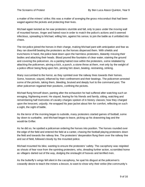a matter of the miners' strike; this was a matter of avenging the gross misconduct that had been waged against the pickets and protecting their lives.

Michael again twisted as he saw protesters stumble and fall, only to pass under the moving wall of mounted horses. Anger and hatred rose in order to match the police's actions and it seemed infectious, spreading to Michael, willing him, against his sense, to join the battle as it unfolded into chaos.

The riot police joined the horses in their charge, making Michael pant with anticipation and fear as they ran downhill beating the protesters as the horses dispersed them. With shields and truncheons in hand, the police beat down upon the harmless protesters, blatantly missing their bodies and attacking their heads. Blood poured like fountains of clear water, staining the ground and covering the policemen. As a panting hatred rose within the protesters, some retaliated by attacking the policemen, aiming a kick, a punch, a stone throw at them, met only by the weight of a police officer being flung upon him, pinning him down, beating, restraining, striking.

Many succumbed to the horror, as they sprinted over the railway lines towards their homes. Some, however, stayed, inflamed by their confinement and their beatings. The policemen arrested some of the pickets, taking them, bleeding, bruised and deeply hurt to the command post. The other policemen regained their positions, confining the pickets.

Michael flung himself down, panting after the exhaustion he had suffered after watching such an enraging, frightening event. He stayed, fearing for his friends and family, sitting, watching and remembering half memories of cavalry charges spoken of in history classes; how they charged upon the innocent, unjustly. He wrapped his jean jacket about him for comfort, reflecting on such a sight, the sight of battle.

As the terror of the morning began to subside, many protesters started games of football, some lay down to sunbathe, and Michael began to leave, picking up his drawstring bag and the would-be Grifter.

As he did so, he spotted a policeman ordering the horses into position. The horses rounded over the edge of the field and entered the field at a canter, chasing the football playing protesters down the field and towards the railway line. The protesters' desperation flung them over the railway line and out of field, followed closely by the mounted police.

Michael mounted his bike, wanting to ensure the protesters' safety. The cacophony was reignited as shouts of fear rose from the sprinting protesters, who, dreading further action, scrambled home as villagers darted out of the way, dodging the onslaught of hooves and terrified men.

As the butterfly's wings fell silent in the cacophony, he spat his disgust at the policemen's cowardly desire to teach the miners a lesson, to want to show why their strike (the community's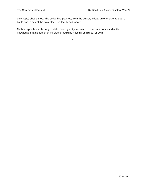only hope) should stop. The police had planned, from the outset, to lead an offensive, to start a battle and to defeat the protesters: his family and friends.

\*

Michael sped home, his anger at the police greatly incensed. His nerves convulsed at the knowledge that his father or his brother could be missing or injured, or both.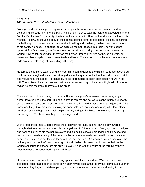# **Chapter 3** *28th August, 1819 - Middleton, Greater Manchester*

Blood gushed out, spitting, spilling from his body as the wound across his stomach bit down, consuming his body in wrenching pain. The look on his eyes was the look of unexpected fear; the fear for life; the fear for his family; the fear for his community. Albert looked down at his friend, his mentor. He saw, as though a copy of the scenes spotted from the protesters' tripping, splashing, cattle-like sprint to safety, a man on horseback yelling and slashing, slashing down at his inferiors, at his cattle, his mice. He spotted, as an adapted memory teased into reality, how the sabre ripped at John's stomach; how John screamed in pain as blood gushed in fountains from his wound; how he fell, begging for mercy as the horses jumped over him as though a hurdle, an inanimate object, a pile of unimportant flesh and blood. The sabre stuck in his mind as the horse rode away, still slashing, still wounding, still killing.

He turned the knife he was holding towards him, peering down at the glaring red rust that covered the knife, as though a disease, and staring down at the quarter of the loaf that still remained, stale and moulding at the edges. His hands quivered in trembling exertion after sixteen hours in the mill. The bruises, the scratches and half healed scars running up his arm, still glared in frustrated red as he held the knife, ready to cut the bread.

The cellar was cold and dark, but darker still was the sight of the man on horseback, edging further towards her in the dark. His self-righteous tailcoat and hat were glaring in fiery superiority as he drew his sabre and threw her further into the dark. The darkness grew as he jumped off his horse and lunged towards her, plunging his sabre into her, mounting and riding off. Blood stained her dress of white hope as she fell, gulping for air, and gushing blood, her wounds consuming her and killing her. The beacon of hope was extinguished.

With a leap of courage, Albert pierced the bread with his knife, cutting, sawing downwards through what seemed to be rubber. He managed to cut off three cubes of roughly one inch edges and passed it over to his mother, his sister and himself. He looked around to see if anyone had noticed his cowardly cutting of the bread but his mother seemed consumed in worry; his sister seemed consumed in her longing for extra food; and his father (to whom he was passing a cube with edges of two inches) was sweating profusely, hiding his groans and pleas for help as his wound continued to exasperate his growing fever. Along with the hours at the mill, his father's body had become consumed in pain and illness.

He remembered his arrival home, having sprinted with the crowd down Windmill Street. As the protesters' anger had begun to settle down after having been attacked by their righteous, superior predators, they began to retaliate, picking up bricks, stones and hammers and taking to the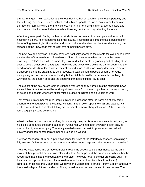streets in anger. Their realisation at their lost friend, father or daughter, their lost opportunity and the suffering that the men on horseback had inflicted upon them had overwhelmed them in an unmatched hatred, inciting them to violence. He ran home, hiding in dark alleys as rioters and men on horseback confronted one another, throwing bricks one way, shooting the other.

After the greater part of a day, with musket shots and screams of protest, pain and terror still ringing in his ears, he crashed into his small house, flinging himself onto the table, panting after hours of frightened flight. His mother and sister both stood and ran to him, their silent worry half released at the knowledge that at least two of their kin were alive.

The next day, the city was in chaos. Workers frantically searched the streets for loved ones before another day of fourteen hours of hard work. Albert did the same, wheezing through streets, crossing St Peter's Field where bodies lay, pale and stiff in death or groaning and bleeding at the door to death. Other sons, daughters, husbands and wives were doing the same, searching the dead (or near dead) for loved ones. They all stayed apart, as though having developed a severe claustrophobia at the proximity to other people. All was silent and people became nervous, anticipating, anxious of a repeat of the day before. All that could be heard was the sobbing, the whimpering, the church bells and the shouting of those looking for loved ones

The events of the day before loomed upon the workers as they hurried into the mill where news awaited them that they would be working sixteen hours from there on (with no extra pay), due to, of course, the people who were either missing, dead or injured and so unable to work.

That evening, his father returned, limping, his face a godsend after the hardship of only three quarters of the usual pay for the family. He flung himself down upon the chair and gasped. His clothes were drenched in blood. Lifting his trouser after many sharp inhalations, Albert's mother found a gaping wound awaiting her.

Albert's father had to continue working for his family, despite his wound and was forced, also, to hide it, so as to avoid the same fate as Mr Arthur Neil who had been thrown in prison and, as rumour had it, was now dying. The family needed to avoid arrest, imprisonment and added poverty and that meant that his father had to hide his wound.

'Peterloo Massacre! Number 1 price: twopence for news of the Peterloo Massacre, containing a full, true and faithful account of the inhuman murders, woundings and other monstrous cruelties.'

'Peterloo Massacre'. The phrase trembled through the streets outside their house as the grim reality of their peaceful protest was released at last. As he passed the bread cube to his father, he recognised that, since the bloodbath of the protest, he would never consider protesting again for the cause of representation and the abolishment of the corn laws (which still continued). Reformist meetings, the Manchester Observer, the Manchester Female Reform Society and every threshold to higher future standards of living would be stopped and banned in due course. The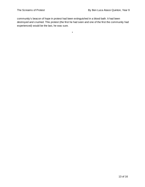community's beacon of hope in protest had been extinguished in a blood bath. It had been destroyed and crushed. This protest (the first he had seen and one of the first the community had experienced) would be the last, he was sure.

\*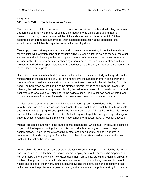# **Chapter 4**

## *30th June, 1984 - Orgreave, South Yorkshire*

Even here, in the safety of his home, the screams of protest could be heard, whistling like a train through the community's minds, offsetting their thoughts onto a different track, a track of unanimous loathing. Never before had the pickets shouted with such force, which, Michael assumed, came from their abhorrence, their disgusted detestation at the authorities, the establishment which had brought the community crashing down.

Two empty chairs sat, expectant, at the round kitchen table, one waiting in trepidation and the other waiting with forgotten hope of its owner's arrival. Michael's father, as with many of the other strikers, remained picketing at the coking plant, the now infamous site of the 'battle', as many villagers called it. The community's unflinching resentment at the authority's treatment of their protesters had led to an open, blatant fury that had now, like a butterfly rising from a cocoon, risen to the added force of protest.

His brother, unlike his father, hadn't been so lucky. Indeed, he was decidedly unlucky. Michael's mind swirled in thought as he conjured in his mind's eye the adapted memory of his brother, a member of the crowd, as he was struck once, twice, three times whilst he fell bleeding from his head. The policeman hauled him up as he strained forward, trying to flee from the invader, the offender, the policeman. Strengthening his grip, the policeman hauled him towards the command post where he was taken, still bleeding, to the police station. His brother had been arrested, one of the many miners from the village who had been thrown into custody, awaiting a trial.

The loss of his brother to an undoubtedly long sentence in prison would deepen the family into what Michael had to assume was poverty. Unable to buy much food or coal, his family was cold and hungry and struggling to keep up with the financial demands of the strike. Without his brother and his father's disappearance to pickets, Michael began to forget the once glowing and singing butterfly wings that had filled his mind with hope; a hope for a better future; a hope for success.

Michael brought his attention to the baked beans beneath him, which must, by now, be beginning to get cold. He began spooning them into his mouth slowly, chewing each bean in deep contemplation. He looked tentatively at his mother and smiled gently, easing his mother's concerned look and changing her focus back onto her dinner. He sipped his water and looked back into the baked beans below.

Terror seized his body as screams of protest leapt into screams of pain. Magnified by his horror and fury, he could see the horses charge forward, leaping among the miners who dispersed in horror, met by truncheons which flew down upon them, smashing, cracking, crushing. Unwary of the blood that poured ever mercilessly from their wounds, they kept flying downwards, onto the heads and bodies of the miners, striking, beating. Seeing the destruction and sensing the fear within, some of the protesters targeted a punch, a kick, a stone at the police, met by blood and a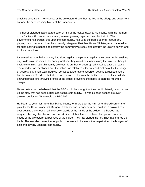cracking sensation. The instincts of the protesters drove them to flee to the village and away from danger: the ever crashing blows of the truncheons.

The horror distorted faces stared back at him as he looked down at his beans. With the memory of the 'battle' still burnt upon his mind, an ever growing rage had been built within. The government had brought this upon the community, had used the police as their instrument, playing their pompous, triumphant melody. Margaret Thatcher, Prime Minister, must have asked for such a thing to happen; to destroy the community's resolve; to destroy the union's power; and to close the mines.

It seemed as though the country had sided against the pickets, against their community, seeking only to destroy the mines, not caring for those they would cast aside along the way. He thought back to the BBC report his family (without his brother, of course) had watched after the 'battle'. The reporter had mentioned how the police had retaliated after riots had broken out in the village of Orgreave. Michael was filled with confused anger at the assertion beyond all doubt that this had been a riot. To add to that, the report showed a clip from the 'battle', or riot, as they called it, showing protesters throwing stones at the police, provoking the police to start the mounted charge.

Never before had he believed that the BBC could be wrong: that they could blatantly lie and cover up the blow that had been struck against his community. He was plunged deeper into ever growing confusion. Why would the BBC lie?

He began to yearn for more than baked beans; for more than the half remembered screams of pain; for the life of luxury that Margaret Thatcher and her government must have enjoyed. The ever beating truncheons had leapt downwards at the hands of the police. The horses had neighed; the dogs had barked and had strained at their leads; the blood had poured from the heads of the protesters, all because of the police. They had started the riot. They had started the battle. The so called protectors of public order were, in his eyes, the perpetrators, the bringers of pain and poverty upon his community.

\*